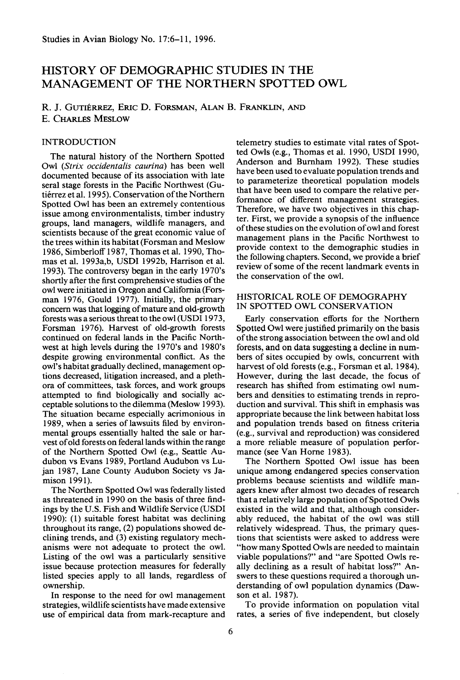# **HISTORY OF DEMOGRAPHIC STUDIES IN THE MANAGEMENT OF THE NORTHERN SPOTTED OWL**

R. J. GUTIÉRREZ, ERIC D. FORSMAN, ALAN B. FRANKLIN, AND **E. CHARLES MESLOW** 

# **INTRODUCTION**

**The natural history of the Northern Spotted Owl (Strix occidentalis caurina) has been well documented because of its association with late seral stage forests in the Pacific Northwest (Gutierrez et al. 1995). Conservation of the Northern Spotted Owl has been an extremely contentious issue among environmentalists, timber industry groups, land managers, wildlife managers, and scientists because of the great economic value of the trees within its habitat (Forsman and Meslow 1986, Simberloff 1987, Thomas et al. 1990, Thomas et al. 1993a,b, USDI 1992b, Harrison et al.**  1993). The controversy began in the early 1970's **shortly after the first comprehensive studies of the owl were initiated in Oregon and California (Forsman 1976, Gould 1977). Initially, the primary concern was that logging of mature and old-growth forests was a serious threat to the owl (USDI 1973, Forsman 1976). Harvest of old-growth forests continued on federal lands in the Pacific North**west at high levels during the 1970's and 1980's **despite growing environmental conflict. As the**   $ow$ 's habitat gradually declined, management op**tions decreased, litigation increased, and a plethora of committees, task forces, and work groups attempted to find biologically and socially acceptable solutions to the dilemma (Meslow 1993). The situation became especially acrimonious in 1989, when a series of lawsuits filed by environmental groups essentially halted the sale or harvest of old forests on federal lands within the range of the Northern Spotted Owl (e.g., Seattle Audubon vs Evans 1989, Portland Audubon vs Lujan 1987, Lane County Audubon Society vs Ja**mison 1991).

**The Northern Spotted Owl was federally listed as threatened in 1990 on the basis of three findings by the U.S. Fish and Wildlife Service (USDI 1990): (1) suitable forest habitat was declining throughout its range, (2) populations showed declining trends, and (3) existing regulatory mechanisms were not adequate to protect the owl. Listing of the owl was a particularly sensitive issue because protection measures for federally listed species apply to all lands, regardless of ownership.** 

**In response to the need for owl management strategies, wildlife scientists have made extensive use of empirical data from mark-recapture and**  **telemetry studies to estimate vital rates of Spotted Owls (e.g., Thomas et al. 1990, USDI 1990, Anderson and Bumham 1992). These studies have been used to evaluate population trends and to parameterize theoretical population models that have been used to compare the relative performance of different management strategies. Therefore, we have two objectives in this chapter. First, we provide a synopsis of the influence of these studies on the evolution of owl and forest management plans in the Pacific Northwest to provide context to the demographic studies in the following chapters. Second, we provide a brief review of some of the recent landmark events in the conservation of the owl.** 

## **HISTORICAL ROLE OF DEMOGRAPHY IN SPOTTED OWL CONSERVATION**

**Early conservation efforts for the Northern Spotted Owl were justified primarily on the basis of the strong association between the owl and old forests, and on data suggesting a decline in numbers of sites occupied by owls, concurrent with harvest of old forests (e.g., Forsman et al. 1984). However, during the last decade, the focus of research has shifted from estimating owl numbers and densities to estimating trends in reproduction and survival. This shift in emphasis was appropriate because the link between habitat loss and population trends based on fitness criteria (e.g., survival and reproduction) was considered a more reliable measure of population performance (see Van Home 1983).** 

**The Northern Spotted Owl issue has been unique among endangered species conservation problems because scientists and wildlife managers knew after almost two decades of research that a relatively large population of Spotted Owls existed in the wild and that, although considerably reduced, the habitat of the owl was still relatively widespread. Thus, the primary questions that scientists were asked to address were "how many Spotted Owls are needed to maintain viable populations?' and "are Spotted Owls really declining as a result of habitat loss?' Answers to these questions required a thorough understanding of owl population dynamics (Dawson et al. 1987).** 

**To provide information on population vital rates, a series of five independent, but closely**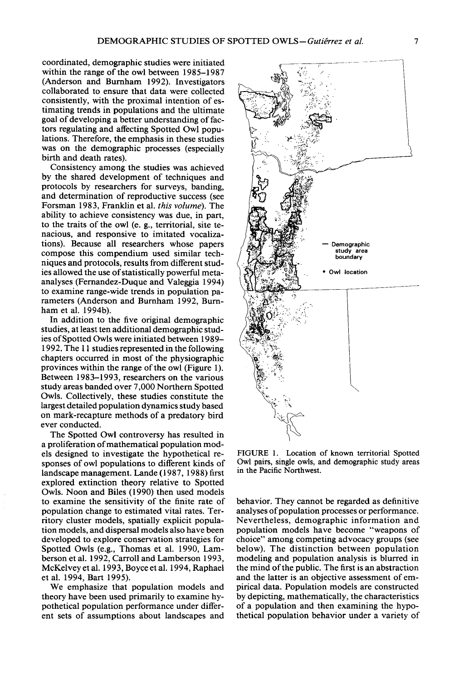**coordinated, demographic studies were initiated within the range of the owl between 1985-1987 (Anderson and Bumham 1992). Investigators collaborated to ensure that data were collected consistently, with the proximal intention of estimating trends in populations and the ultimate goal of developing a better understanding of factors regulating and affecting Spotted Owl populations. Therefore, the emphasis in these studies was on the demographic processes (especially birth and death rates).** 

**Consistency among the studies was achieved by the shared development of techniques and protocols by researchers for surveys, banding, and determination of reproductive success (see Forsman 1983, Franklin et al. this volume). The ability to achieve consistency was due, in part, to the traits of the owl (e. g., territorial, site tenacious, and responsive to imitated vocalizations). Because all researchers whose papers compose this compendium used similar techniques and protocols, results from different studies allowed the use of statistically powerful metaanalyses (Femandez-Duque and Valeggia 1994) to examine range-wide trends in population parameters (Anderson and Bumham 1992, Bumham et al. 1994b).** 

**In addition to the five original demographic studies, at least ten additional demographic studies of Spotted Owls were initiated between 1989- 1992. The 11 studies represented in the following chapters occurred in most of the physiographic provinces within the range of the owl (Figure 1). Between 1983-1993, researchers on the various study areas banded over 7,000 Northern Spotted Owls. Collectively, these studies constitute the largest detailed population dynamics study based on mark-recapture methods of a predatory bird ever conducted.** 

**The Spotted Owl controversy has resulted in a proliferation of mathematical population models designed to investigate the hypothetical responses of owl populations to different kinds of landscape management. Lande (1987, 1988) first explored extinction theory relative to Spotted Owls. Noon and Biles (1990) then used models to examine the sensitivity of the finite rate of population change to estimated vital rates. Territory cluster models, spatially explicit population models, and dispersal models also have been developed to explore conservation strategies for Spotted Owls (e.g., Thomas et al. 1990, Lamberson et al. 1992, Carroll and Lamberson 1993, McKelvey et al. 1993, Boyce et al. 1994, Raphael et al. 1994, Bart 1995).** 

**We emphasize that population models and theory have been used primarily to examine hypothetical population performance under different sets of assumptions about landscapes and** 



**FIGURE 1. Location of known territorial Spotted Owl pairs, single owls, and demographic study areas in the Pacific Northwest.** 

**behavior. They cannot be regarded as definitive analyses of population processes or performance. Nevertheless, demographic information and population models have become "weapons of choice" among competing advocacy groups (see below). The distinction between population modeling and population analysis is blurred in the mind of the public. The first is an abstraction and the latter is an objective assessment of empirical data. Population models are constructed by depicting, mathematically, the characteristics of a population and then examining the hypothetical population behavior under a variety of**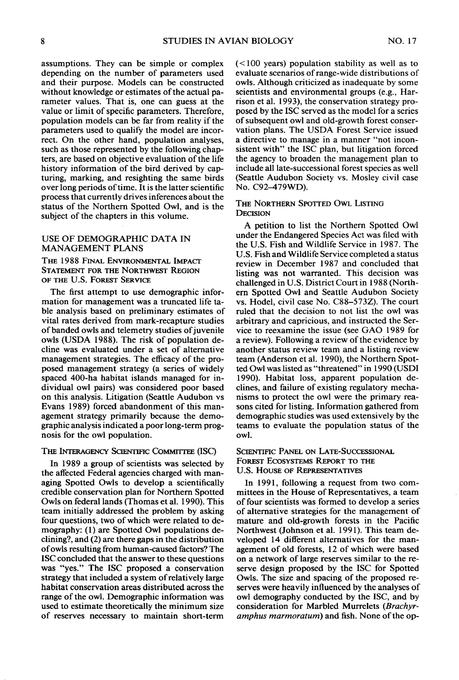**assumptions. They can be simple or complex depending on the number of parameters used and their purpose. Models can be constructed without knowledge or estimates of the actual parameter values. That is, one can guess at the value or limit of specific parameters. Therefore, population models can be far from reality if the parameters used to qualify the model are incorrect. On the other hand, population analyses, such as those represented by the following chapters, are based on objective evaluation of the life history information of the bird derived by capturing, marking, and resighting the same birds over long periods of time. It is the latter scientific process that currently drives inferences about the status of the Northern Spotted Owl, and is the subject of the chapters in this volume.** 

## **USE OF DEMOGRAPHIC DATA IN MANAGEMENT PLANS**

THE 1988 FINAL ENVIRONMENTAL IMPACT **STATEMENT FOR THE NORTHWEST REGION OF THE U.S. FOREST SERVICE** 

**The first attempt to use demographic information for management was a truncated life table analysis based on preliminary estimates of vital rates derived from mark-recapture studies of banded owls and telemetry studies of juvenile owls (USDA 1988). The risk of population decline was evaluated under a set of alternative management strategies. The efficacy of the proposed management strategy (a series of widely spaced 400-ha habitat islands managed for individual owl pairs) was considered poor based on this analysis. Litigation (Seattle Audubon vs Evans 1989) forced abandonment of this management strategy primarily because the demographic analysis indicated a poor long-term prognosis for the owl population.** 

#### THE INTERAGENCY SCIENTIFIC COMMITTEE (ISC)

**In 1989 a group of scientists was selected by the affected Federal agencies charged with managing Spotted Owls to develop a scientifically credible conservation plan for Northern Spotted Owls on federal lands (Thomas et al. 1990). This team initially addressed the problem by asking four questions, two of which were related to demography: (1) are Spotted Owl populations declining?, and (2) are there gaps in the distribution of owls resulting from human-caused factors? The ISC concluded that the answer to these questions was "yes." The ISC proposed a conservation strategy that included a system of relatively large habitat conservation areas distributed across the range of the owl. Demographic information was used to estimate theoretically the minimum size of reserves necessary to maintain short-term** 

**(< 100 years) population stability as well as to evaluate scenarios of range-wide distributions of owls. Although criticized as inadequate by some scientists and environmental groups (e.g., Harrison et al. 1993), the conservation strategy proposed by the ISC served as the model for a series of subsequent owl and old-growth forest conservation plans. The USDA Forest Service issued a directive to manage in a manner "not inconsistent with" the ISC plan, but litigation forced the agency to broaden the management plan to include all late-successional forest species as well (Seattle Audubon Society vs. Mosley civil case No. C92-479WD).** 

# **THE NORTHERN SPOTTED OWL LISTING DECISION**

**A petition to list the Northern Spotted Owl under the Endangered Species Act was filed with the U.S. Fish and Wildlife Service in 1987. The U.S. Fish and Wildlife Service completed a status review in December 1987 and concluded that listing was not warranted. This decision was challenged in U.S. District Court in 1988 (Northem Spotted Owl and Seattle Audubon Society vs. Hodel, civil case No. C88-5732). The court ruled that the decision to not list the owl was arbitrary and capricious, and instructed the Service to reexamine the issue (see GAO 1989 for a review). Following a review of the evidence by another status review team and a listing review team (Anderson et al. 1990), the Northern Spotted Owl was listed as "threatened" in 1990 (USDI 1990). Habitat loss, apparent population declines, and failure of existing regulatory mechanisms to protect the owl were the primary reasons cited for listing. Information gathered from demographic studies was used extensively by the teams to evaluate the population status of the owl.** 

#### **SCIENTIFIC PANEL ON LATE-SUCCESSIONAL FOREST ECOSYSTEMS REPORT TO THE U.S. HOUSE OF REPRESENTATIVES**

**In 1991, following a request from two committees in the House of Representatives, a team of four scientists was formed to develop a series of alternative strategies for the management of mature and old-growth forests in the Pacific**  Northwest (Johnson et al. 1991). This team de**veloped 14 different alternatives for the management of old forests, 12 of which were based on a network of large reserves similar to the reserve design proposed by the ISC for Spotted Owls. The size and spacing of the proposed reserves were heavily influenced by the analyses of owl demography conducted by the ISC, and by**  consideration for Marbled Murrelets (Brachyr**amphus marmoratum) and fish. None of the op-**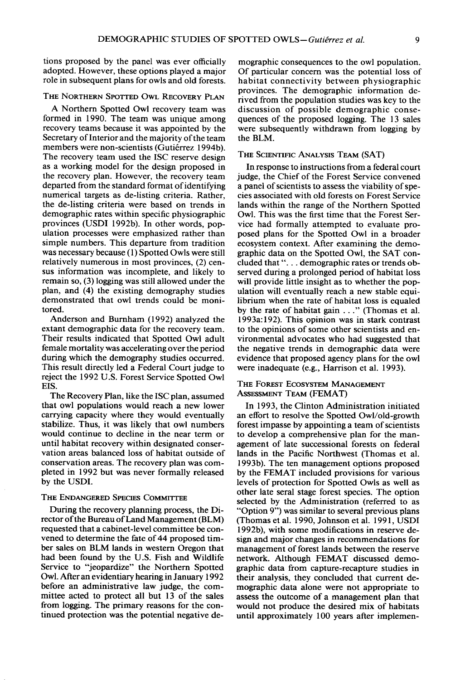**tions proposed by the panel was ever officially adopted. However, these options played a major role in subsequent plans for owls and old forests.** 

#### **THE NORTHERN SPOTTED OWL RECOVERY PLAN**

**A Northern Spotted Owl recovery team was formed in 1990. The team was unique among recovery teams because it was appointed by the Secretary of Interior and the majority of the team**  members were non-scientists (Gutiérrez 1994b). **The recovery team used the ISC reserve design as a working model for the design proposed in the recovery plan. However, the recovery team departed from the standard format of identifying numerical targets as de-listing criteria. Rather, the de-listing criteria were based on trends in demographic rates within specific physiographic provinces (USDI 1992b). In other words, population processes were emphasized rather than simple numbers. This departure from tradition was necessary because (1) Spotted Owls were still relatively numerous in most provinces, (2) census information was incomplete, and likely to remain so, (3) logging was still allowed under the plan, and (4) the existing demography studies demonstrated that owl trends could be monitored.** 

**Anderson and Bumham (1992) analyzed the extant demographic data for the recovery team. Their results indicated that Spotted Owl adult female mortality was accelerating over the period during which the demography studies occurred. This result directly led a Federal Court judge to reject the 1992 U.S. Forest Service Spotted Owl EIS.** 

**The Recovery Plan, like the ISC plan, assumed that owl populations would reach a new lower carrying capacity where they would eventually stabilize. Thus, it was likely that owl numbers would continue to decline in the near term or until habitat recovery within designated conservation areas balanced loss of habitat outside of conservation areas. The recovery plan was completed in 1992 but was never formally released by the USDI.** 

#### **THE ENDANGERED SPECIES COMMITTEE**

**During the recovery planning process, the Director of the Bureau of Land Management (BLM) requested that a cabinet-level committee be convened to determine the fate of 44 proposed timber sales on BLM lands in western Oregon that had been found by the U.S. Fish and Wildlife Service to "jeopardize" the Northern Spotted Owl. After an evidentiary hearing in January 1992 before an administrative law judge, the committee acted to protect all but 13 of the sales from logging. The primary reasons for the continued protection was the potential negative de-** **mographic consequences to the owl population. Of particular concern was the potential loss of habitat connectivity between physiographic provinces. The demographic information derived from the population studies was key to the discussion of possible demographic consequences of the proposed logging. The 13 sales were subsequently withdrawn from logging by the BLM.** 

#### **THE SCIENTIFIC ANALYSIS TEAM (SAT)**

**In response to instructions from a federal court judge, the Chief of the Forest Service convened a panel of scientists to assess the viability of species associated with old forests on Forest Service lands within the range of the Northern Spotted Owl. This was the first time that the Forest Service had formally attempted to evaluate proposed plans for the Spotted Owl in a broader ecosystem context. After examining the demographic data on the Spotted Owl, the SAT con**cluded that ". . . demographic rates or trends ob**served during a prolonged period of habitat loss will provide little insight as to whether the population will eventually reach a new stable equilibrium when the rate of habitat loss is equaled by the rate of habitat gain . . ." (Thomas et al. 1993a: 192). This opinion was in stark contrast to the opinions of some other scientists and environmental advocates who had suggested that the negative trends in demographic data were evidence that proposed agency plans for the owl were inadequate (e.g., Harrison et al. 1993).** 

# **THE FOREST ECOSYSTEM MANAGEMENT ASSESSMENT TEAM (FEMAT)**

**In 1993, the Clinton Administration initiated an effort to resolve the Spotted Owl/old-growth forest impasse by appointing a team of scientists to develop a comprehensive plan for the management of late successional forests on federal lands in the Pacific Northwest (Thomas et al. 1993b). The ten management options proposed by the FEMAT included provisions for various levels of protection for Spotted Owls as well as other late seral stage forest species. The option selected by the Administration (referred to as "Option 9") was similar to several previous plans (Thomas et al. 1990, Johnson et al. 199 1, USDI 1992b), with some modifications in reserve design and major changes in recommendations for management of forest lands between the reserve network. Although FEMAT discussed demographic data from capture-recapture studies in their analysis, they concluded that current demographic data alone were not appropriate to assess the outcome of a management plan that would not produce the desired mix of habitats until approximately 100 years after implemen-**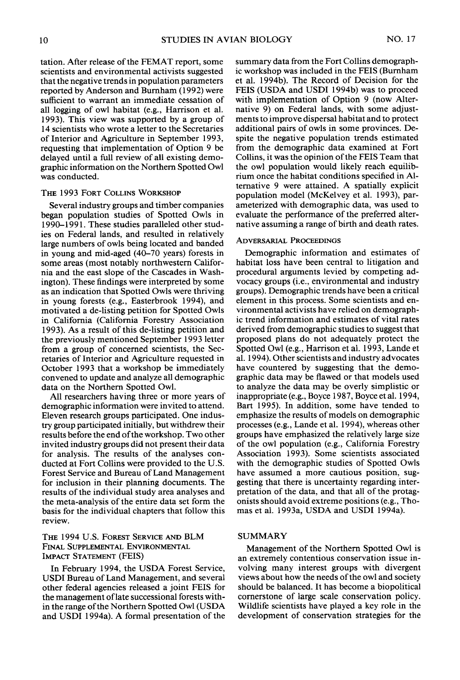**tation. After release of the FEMAT report, some scientists and environmental activists suggested that the negative trends in population parameters reported by Anderson and Bumham (1992) were sufficient to warrant an immediate cessation of all logging of owl habitat (e.g., Harrison et al. 1993). This view was supported by a group of 14 scientists who wrote a letter to the Secretaries of Interior and Agriculture in September 1993, requesting that implementation of Option 9 be delayed until a full review of all existing demographic information on the Northern Spotted Owl was conducted.** 

#### **THE 1993 FORT COLLINS WORKSHOP**

**Several industry groups and timber companies began population studies of Spotted Owls in 1990-l 99 1. These studies paralleled other studies on Federal lands, and resulted in relatively large numbers of owls being located and banded in young and mid-aged (40-70 years) forests in some areas (most notably northwestern California and the east slope of the Cascades in Washington). These findings were interpreted by some as an indication that Spotted Owls were thriving in young forests (e.g., Easterbrook 1994), and motivated a de-listing petition for Spotted Owls in California (California Forestry Association 1993). As a result of this de-listing petition and the previously mentioned September 1993 letter from a group of concerned scientists, the Secretaries of Interior and Agriculture requested in October 1993 that a workshop be immediately convened to update and analyze all demographic data on the Northern Spotted Owl.** 

**All researchers having three or more years of demographic information were invited to attend. Eleven research groups participated. One industry group participated initially, but withdrew their results before the end of the workshop. Two other invited industry groups did not present their data for analysis. The results of the analyses conducted at Fort Collins were provided to the U.S. Forest Service and Bureau of Land Management for inclusion in their planning documents. The results of the individual study area analyses and the meta-analysis of the entire data set form the basis for the individual chapters that follow this review.** 

# **THE 1994 U.S. FOREST SERVICE AND BLM FINAL SUPPLEMENTAL ENVIRONMENTAL IMPACT STATEMENT (FEIS)**

**In February 1994, the USDA Forest Service, USDI Bureau of Land Management, and several other federal agencies released a joint FEIS for the management of late successional forests within the range of the Northern Spotted Owl (USDA and USDI 1994a). A formal presentation of the**  **summary data from the Fort Collins demographic workshop was included in the FEIS (Bumham et al. 1994b). The Record of Decision for the FEIS (USDA and USDI 1994b) was to proceed with implementation of Option 9 (now Alternative 9) on Federal lands, with some adjustments to improve dispersal habitat and to protect additional pairs of owls in some provinces. Despite the negative population trends estimated from the demographic data examined at Fort Collins, it was the opinion of the FEIS Team that the owl population would likely reach equilibrium once the habitat conditions specified in Alternative 9 were attained. A spatially explicit population model (McKelvey et al. 1993), parameterized with demographic data, was used to evaluate the performance of the preferred alternative assuming a range of birth and death rates.** 

#### **ADVERSARIAL PROCEEDINGS**

**Demographic information and estimates of habitat loss have been central to litigation and procedural arguments levied by competing advocacy groups (i.e., environmental and industry groups). Demographic trends have been a critical element in this process. Some scientists and environmental activists have relied on demographic trend information and estimates of vital rates derived from demographic studies to suggest that proposed plans do not adequately protect the Spotted Owl (e.g., Harrison et al. 1993, Lande et al. 1994). Other scientists and industry advocates have countered by suggesting that the demographic data may be flawed or that models used to analyze the data may be overly simplistic or inappropriate (e.g., Boyce 1987, Boyce et al. 1994, Bart 1995). In addition, some have tended to emphasize the results of models on demographic processes (e.g., Lande et al. 1994), whereas other groups have emphasized the relatively large size of the owl population (e.g., California Forestry Association 1993). Some scientists associated with the demographic studies of Spotted Owls have assumed a more cautious position, suggesting that there is uncertainty regarding interpretation of the data, and that all of the protagonists should avoid extreme positions (e.g., Thomas et al. 1993a, USDA and USDI 1994a).** 

# **SUMMARY**

**Management of the Northern Spotted Owl is an extremely contentious conservation issue involving many interest groups with divergent views about how the needs of the owl and society should be balanced. It has become a biopolitical cornerstone of large scale conservation policy. Wildlife scientists have played a key role in the development of conservation strategies for the**